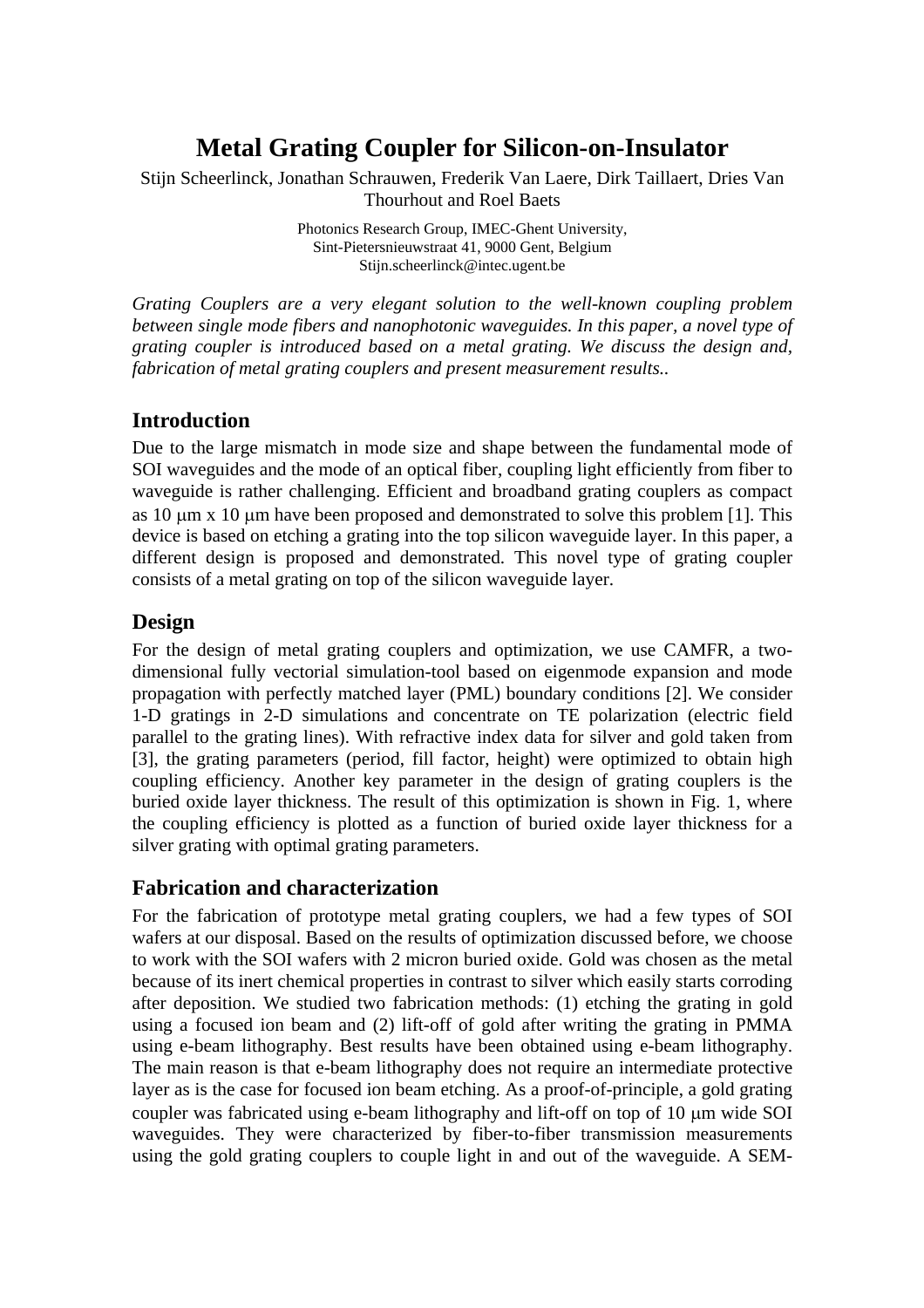# **Metal Grating Coupler for Silicon-on-Insulator**

Stijn Scheerlinck, Jonathan Schrauwen, Frederik Van Laere, Dirk Taillaert, Dries Van Thourhout and Roel Baets

> Photonics Research Group, IMEC-Ghent University, Sint-Pietersnieuwstraat 41, 9000 Gent, Belgium Stijn.scheerlinck@intec.ugent.be

*Grating Couplers are a very elegant solution to the well-known coupling problem between single mode fibers and nanophotonic waveguides. In this paper, a novel type of grating coupler is introduced based on a metal grating. We discuss the design and, fabrication of metal grating couplers and present measurement results..* 

## **Introduction**

Due to the large mismatch in mode size and shape between the fundamental mode of SOI waveguides and the mode of an optical fiber, coupling light efficiently from fiber to waveguide is rather challenging. Efficient and broadband grating couplers as compact as  $10 \mu m$  x  $10 \mu m$  have been proposed and demonstrated to solve this problem [1]. This device is based on etching a grating into the top silicon waveguide layer. In this paper, a different design is proposed and demonstrated. This novel type of grating coupler consists of a metal grating on top of the silicon waveguide layer.

# **Design**

For the design of metal grating couplers and optimization, we use CAMFR, a twodimensional fully vectorial simulation-tool based on eigenmode expansion and mode propagation with perfectly matched layer (PML) boundary conditions [2]. We consider 1-D gratings in 2-D simulations and concentrate on TE polarization (electric field parallel to the grating lines). With refractive index data for silver and gold taken from [3], the grating parameters (period, fill factor, height) were optimized to obtain high coupling efficiency. Another key parameter in the design of grating couplers is the buried oxide layer thickness. The result of this optimization is shown in Fig. 1, where the coupling efficiency is plotted as a function of buried oxide layer thickness for a silver grating with optimal grating parameters.

## **Fabrication and characterization**

For the fabrication of prototype metal grating couplers, we had a few types of SOI wafers at our disposal. Based on the results of optimization discussed before, we choose to work with the SOI wafers with 2 micron buried oxide. Gold was chosen as the metal because of its inert chemical properties in contrast to silver which easily starts corroding after deposition. We studied two fabrication methods: (1) etching the grating in gold using a focused ion beam and (2) lift-off of gold after writing the grating in PMMA using e-beam lithography. Best results have been obtained using e-beam lithography. The main reason is that e-beam lithography does not require an intermediate protective layer as is the case for focused ion beam etching. As a proof-of-principle, a gold grating coupler was fabricated using e-beam lithography and lift-off on top of 10  $\mu$ m wide SOI waveguides. They were characterized by fiber-to-fiber transmission measurements using the gold grating couplers to couple light in and out of the waveguide. A SEM-